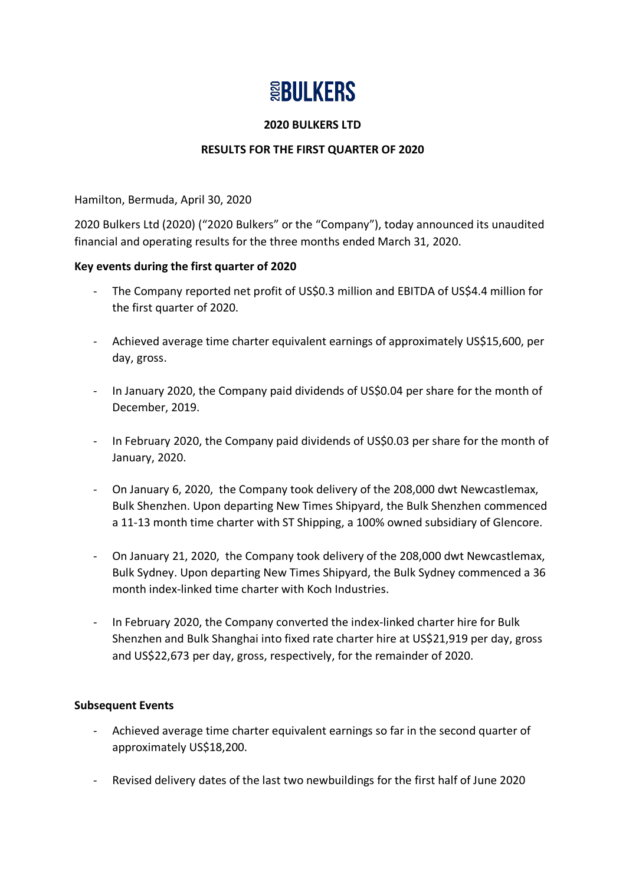# **SBULKERS**

#### **2020 BULKERS LTD**

# **RESULTS FOR THE FIRST QUARTER OF 2020**

Hamilton, Bermuda, April 30, 2020

2020 Bulkers Ltd (2020) ("2020 Bulkers" or the "Company"), today announced its unaudited financial and operating results for the three months ended March 31, 2020.

#### **Key events during the first quarter of 2020**

- The Company reported net profit of US\$0.3 million and EBITDA of US\$4.4 million for the first quarter of 2020.
- Achieved average time charter equivalent earnings of approximately US\$15,600, per day, gross.
- In January 2020, the Company paid dividends of US\$0.04 per share for the month of December, 2019.
- In February 2020, the Company paid dividends of US\$0.03 per share for the month of January, 2020.
- On January 6, 2020, the Company took delivery of the 208,000 dwt Newcastlemax, Bulk Shenzhen. Upon departing New Times Shipyard, the Bulk Shenzhen commenced a 11-13 month time charter with ST Shipping, a 100% owned subsidiary of Glencore.
- On January 21, 2020, the Company took delivery of the 208,000 dwt Newcastlemax, Bulk Sydney. Upon departing New Times Shipyard, the Bulk Sydney commenced a 36 month index-linked time charter with Koch Industries.
- In February 2020, the Company converted the index-linked charter hire for Bulk Shenzhen and Bulk Shanghai into fixed rate charter hire at US\$21,919 per day, gross and US\$22,673 per day, gross, respectively, for the remainder of 2020.

# **Subsequent Events**

- Achieved average time charter equivalent earnings so far in the second quarter of approximately US\$18,200.
- Revised delivery dates of the last two newbuildings for the first half of June 2020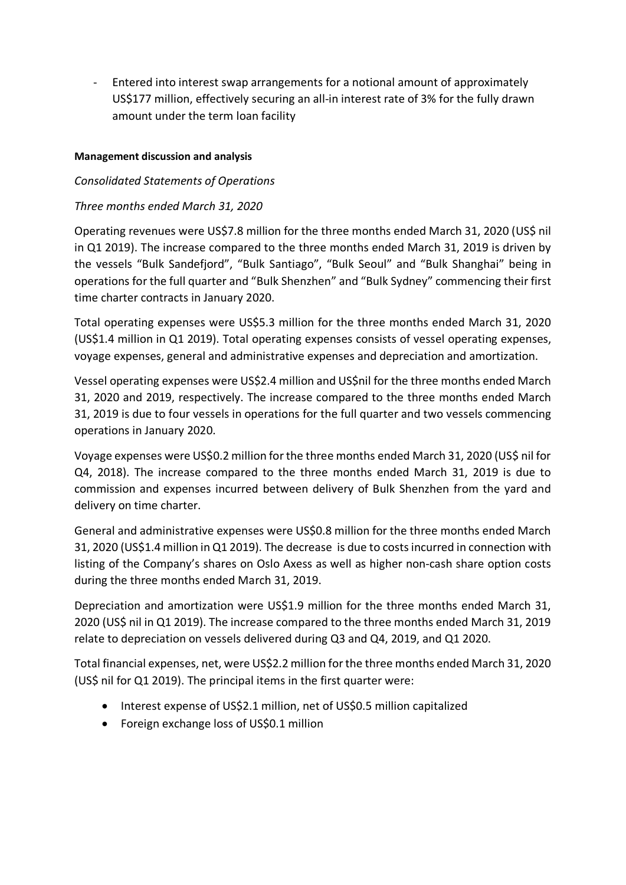- Entered into interest swap arrangements for a notional amount of approximately US\$177 million, effectively securing an all-in interest rate of 3% for the fully drawn amount under the term loan facility

# **Management discussion and analysis**

# *Consolidated Statements of Operations*

# *Three months ended March 31, 2020*

Operating revenues were US\$7.8 million for the three months ended March 31, 2020 (US\$ nil in Q1 2019). The increase compared to the three months ended March 31, 2019 is driven by the vessels "Bulk Sandefjord", "Bulk Santiago", "Bulk Seoul" and "Bulk Shanghai" being in operations for the full quarter and "Bulk Shenzhen" and "Bulk Sydney" commencing their first time charter contracts in January 2020.

Total operating expenses were US\$5.3 million for the three months ended March 31, 2020 (US\$1.4 million in Q1 2019). Total operating expenses consists of vessel operating expenses, voyage expenses, general and administrative expenses and depreciation and amortization.

Vessel operating expenses were US\$2.4 million and US\$nil for the three months ended March 31, 2020 and 2019, respectively. The increase compared to the three months ended March 31, 2019 is due to four vessels in operations for the full quarter and two vessels commencing operations in January 2020.

Voyage expenses were US\$0.2 million for the three months ended March 31, 2020 (US\$ nil for Q4, 2018). The increase compared to the three months ended March 31, 2019 is due to commission and expenses incurred between delivery of Bulk Shenzhen from the yard and delivery on time charter.

General and administrative expenses were US\$0.8 million for the three months ended March 31, 2020 (US\$1.4 million in Q1 2019). The decrease is due to costsincurred in connection with listing of the Company's shares on Oslo Axess as well as higher non-cash share option costs during the three months ended March 31, 2019.

Depreciation and amortization were US\$1.9 million for the three months ended March 31, 2020 (US\$ nil in Q1 2019). The increase compared to the three months ended March 31, 2019 relate to depreciation on vessels delivered during Q3 and Q4, 2019, and Q1 2020.

Total financial expenses, net, were US\$2.2 million for the three months ended March 31, 2020 (US\$ nil for Q1 2019). The principal items in the first quarter were:

- Interest expense of US\$2.1 million, net of US\$0.5 million capitalized
- Foreign exchange loss of US\$0.1 million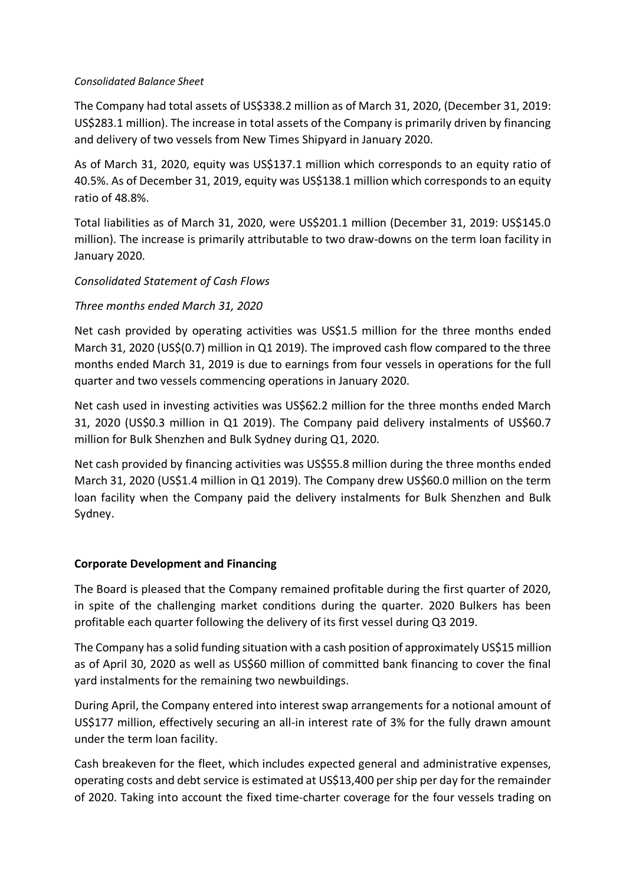#### *Consolidated Balance Sheet*

The Company had total assets of US\$338.2 million as of March 31, 2020, (December 31, 2019: US\$283.1 million). The increase in total assets of the Company is primarily driven by financing and delivery of two vessels from New Times Shipyard in January 2020.

As of March 31, 2020, equity was US\$137.1 million which corresponds to an equity ratio of 40.5%. As of December 31, 2019, equity was US\$138.1 million which corresponds to an equity ratio of 48.8%.

Total liabilities as of March 31, 2020, were US\$201.1 million (December 31, 2019: US\$145.0 million). The increase is primarily attributable to two draw-downs on the term loan facility in January 2020.

# *Consolidated Statement of Cash Flows*

# *Three months ended March 31, 2020*

Net cash provided by operating activities was US\$1.5 million for the three months ended March 31, 2020 (US\$(0.7) million in Q1 2019). The improved cash flow compared to the three months ended March 31, 2019 is due to earnings from four vessels in operations for the full quarter and two vessels commencing operations in January 2020.

Net cash used in investing activities was US\$62.2 million for the three months ended March 31, 2020 (US\$0.3 million in Q1 2019). The Company paid delivery instalments of US\$60.7 million for Bulk Shenzhen and Bulk Sydney during Q1, 2020.

Net cash provided by financing activities was US\$55.8 million during the three months ended March 31, 2020 (US\$1.4 million in Q1 2019). The Company drew US\$60.0 million on the term loan facility when the Company paid the delivery instalments for Bulk Shenzhen and Bulk Sydney.

# **Corporate Development and Financing**

The Board is pleased that the Company remained profitable during the first quarter of 2020, in spite of the challenging market conditions during the quarter. 2020 Bulkers has been profitable each quarter following the delivery of its first vessel during Q3 2019.

The Company has a solid funding situation with a cash position of approximately US\$15 million as of April 30, 2020 as well as US\$60 million of committed bank financing to cover the final yard instalments for the remaining two newbuildings.

During April, the Company entered into interest swap arrangements for a notional amount of US\$177 million, effectively securing an all-in interest rate of 3% for the fully drawn amount under the term loan facility.

Cash breakeven for the fleet, which includes expected general and administrative expenses, operating costs and debt service is estimated at US\$13,400 per ship per day for the remainder of 2020. Taking into account the fixed time-charter coverage for the four vessels trading on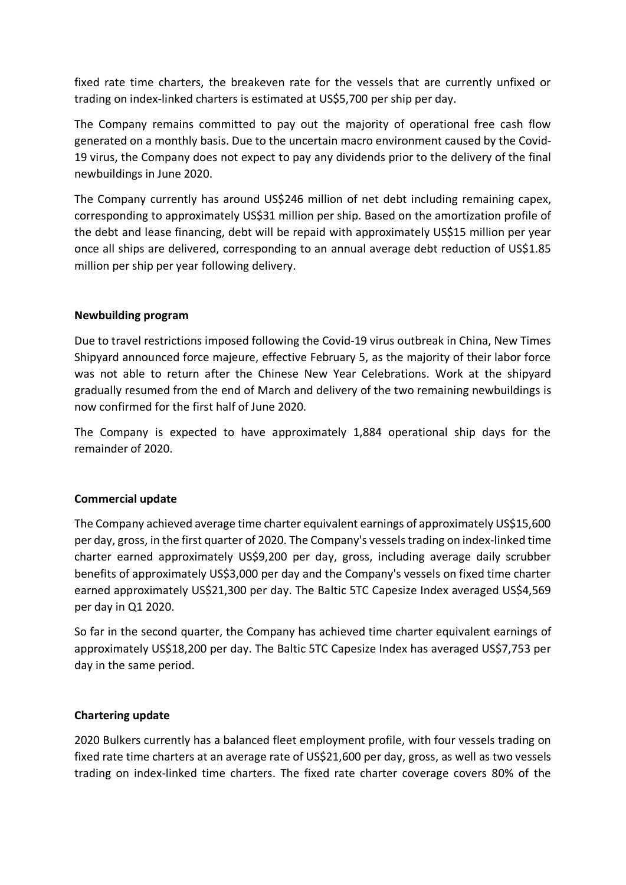fixed rate time charters, the breakeven rate for the vessels that are currently unfixed or trading on index-linked charters is estimated at US\$5,700 per ship per day.

The Company remains committed to pay out the majority of operational free cash flow generated on a monthly basis. Due to the uncertain macro environment caused by the Covid-19 virus, the Company does not expect to pay any dividends prior to the delivery of the final newbuildings in June 2020.

The Company currently has around US\$246 million of net debt including remaining capex, corresponding to approximately US\$31 million per ship. Based on the amortization profile of the debt and lease financing, debt will be repaid with approximately US\$15 million per year once all ships are delivered, corresponding to an annual average debt reduction of US\$1.85 million per ship per year following delivery.

# **Newbuilding program**

Due to travel restrictions imposed following the Covid-19 virus outbreak in China, New Times Shipyard announced force majeure, effective February 5, as the majority of their labor force was not able to return after the Chinese New Year Celebrations. Work at the shipyard gradually resumed from the end of March and delivery of the two remaining newbuildings is now confirmed for the first half of June 2020.

The Company is expected to have approximately 1,884 operational ship days for the remainder of 2020.

# **Commercial update**

The Company achieved average time charter equivalent earnings of approximately US\$15,600 per day, gross, in the first quarter of 2020. The Company's vesselstrading on index-linked time charter earned approximately US\$9,200 per day, gross, including average daily scrubber benefits of approximately US\$3,000 per day and the Company's vessels on fixed time charter earned approximately US\$21,300 per day. The Baltic 5TC Capesize Index averaged US\$4,569 per day in Q1 2020.

So far in the second quarter, the Company has achieved time charter equivalent earnings of approximately US\$18,200 per day. The Baltic 5TC Capesize Index has averaged US\$7,753 per day in the same period.

# **Chartering update**

2020 Bulkers currently has a balanced fleet employment profile, with four vessels trading on fixed rate time charters at an average rate of US\$21,600 per day, gross, as well as two vessels trading on index-linked time charters. The fixed rate charter coverage covers 80% of the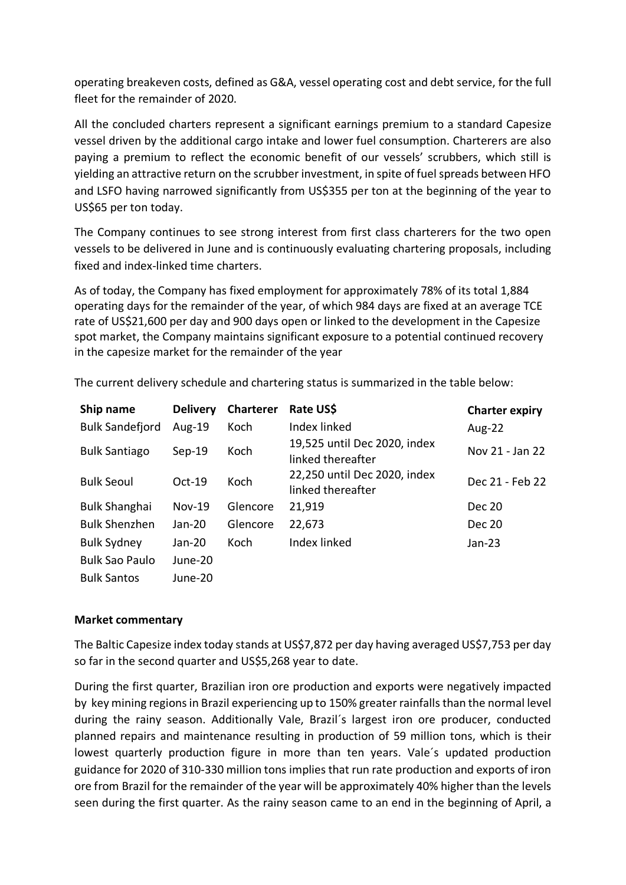operating breakeven costs, defined as G&A, vessel operating cost and debt service, for the full fleet for the remainder of 2020.

All the concluded charters represent a significant earnings premium to a standard Capesize vessel driven by the additional cargo intake and lower fuel consumption. Charterers are also paying a premium to reflect the economic benefit of our vessels' scrubbers, which still is yielding an attractive return on the scrubber investment, in spite of fuel spreads between HFO and LSFO having narrowed significantly from US\$355 per ton at the beginning of the year to US\$65 per ton today.

The Company continues to see strong interest from first class charterers for the two open vessels to be delivered in June and is continuously evaluating chartering proposals, including fixed and index-linked time charters.

As of today, the Company has fixed employment for approximately 78% of its total 1,884 operating days for the remainder of the year, of which 984 days are fixed at an average TCE rate of US\$21,600 per day and 900 days open or linked to the development in the Capesize spot market, the Company maintains significant exposure to a potential continued recovery in the capesize market for the remainder of the year

| Ship name              | <b>Delivery</b> | <b>Charterer</b> | Rate US\$                                         | <b>Charter expiry</b> |
|------------------------|-----------------|------------------|---------------------------------------------------|-----------------------|
| <b>Bulk Sandefjord</b> | Aug- $19$       | Koch             | Index linked                                      | <b>Aug-22</b>         |
| <b>Bulk Santiago</b>   | $Sep-19$        | Koch             | 19,525 until Dec 2020, index<br>linked thereafter | Nov 21 - Jan 22       |
| <b>Bulk Seoul</b>      | $Oct-19$        | Koch             | 22,250 until Dec 2020, index<br>linked thereafter | Dec 21 - Feb 22       |
| <b>Bulk Shanghai</b>   | $Nov-19$        | Glencore         | 21,919                                            | <b>Dec 20</b>         |
| <b>Bulk Shenzhen</b>   | $Jan-20$        | Glencore         | 22,673                                            | <b>Dec 20</b>         |
| <b>Bulk Sydney</b>     | $Jan-20$        | Koch             | Index linked                                      | Jan-23                |
| <b>Bulk Sao Paulo</b>  | June-20         |                  |                                                   |                       |
| <b>Bulk Santos</b>     | June-20         |                  |                                                   |                       |

The current delivery schedule and chartering status is summarized in the table below:

#### **Market commentary**

The Baltic Capesize index today stands at US\$7,872 per day having averaged US\$7,753 per day so far in the second quarter and US\$5,268 year to date.

During the first quarter, Brazilian iron ore production and exports were negatively impacted by key mining regions in Brazil experiencing up to 150% greater rainfalls than the normal level during the rainy season. Additionally Vale, Brazil´s largest iron ore producer, conducted planned repairs and maintenance resulting in production of 59 million tons, which is their lowest quarterly production figure in more than ten years. Vale´s updated production guidance for 2020 of 310-330 million tons implies that run rate production and exports of iron ore from Brazil for the remainder of the year will be approximately 40% higher than the levels seen during the first quarter. As the rainy season came to an end in the beginning of April, a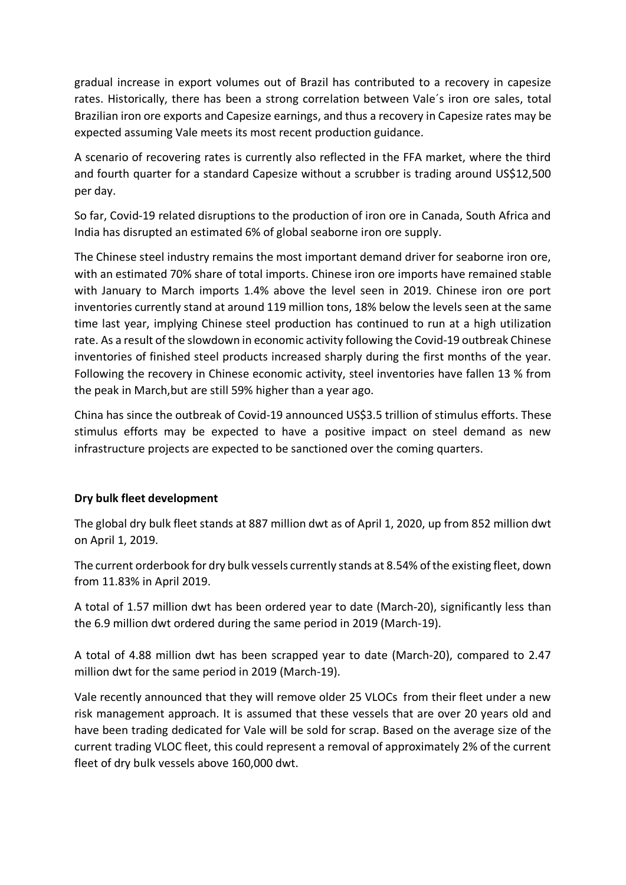gradual increase in export volumes out of Brazil has contributed to a recovery in capesize rates. Historically, there has been a strong correlation between Vale´s iron ore sales, total Brazilian iron ore exports and Capesize earnings, and thus a recovery in Capesize rates may be expected assuming Vale meets its most recent production guidance.

A scenario of recovering rates is currently also reflected in the FFA market, where the third and fourth quarter for a standard Capesize without a scrubber is trading around US\$12,500 per day.

So far, Covid-19 related disruptions to the production of iron ore in Canada, South Africa and India has disrupted an estimated 6% of global seaborne iron ore supply.

The Chinese steel industry remains the most important demand driver for seaborne iron ore, with an estimated 70% share of total imports. Chinese iron ore imports have remained stable with January to March imports 1.4% above the level seen in 2019. Chinese iron ore port inventories currently stand at around 119 million tons, 18% below the levels seen at the same time last year, implying Chinese steel production has continued to run at a high utilization rate. As a result of the slowdown in economic activity following the Covid-19 outbreak Chinese inventories of finished steel products increased sharply during the first months of the year. Following the recovery in Chinese economic activity, steel inventories have fallen 13 % from the peak in March,but are still 59% higher than a year ago.

China has since the outbreak of Covid-19 announced US\$3.5 trillion of stimulus efforts. These stimulus efforts may be expected to have a positive impact on steel demand as new infrastructure projects are expected to be sanctioned over the coming quarters.

# **Dry bulk fleet development**

The global dry bulk fleet stands at 887 million dwt as of April 1, 2020, up from 852 million dwt on April 1, 2019.

The current orderbook for dry bulk vessels currently stands at 8.54% of the existing fleet, down from 11.83% in April 2019.

A total of 1.57 million dwt has been ordered year to date (March-20), significantly less than the 6.9 million dwt ordered during the same period in 2019 (March-19).

A total of 4.88 million dwt has been scrapped year to date (March-20), compared to 2.47 million dwt for the same period in 2019 (March-19).

Vale recently announced that they will remove older 25 VLOCs from their fleet under a new risk management approach. It is assumed that these vessels that are over 20 years old and have been trading dedicated for Vale will be sold for scrap. Based on the average size of the current trading VLOC fleet, this could represent a removal of approximately 2% of the current fleet of dry bulk vessels above 160,000 dwt.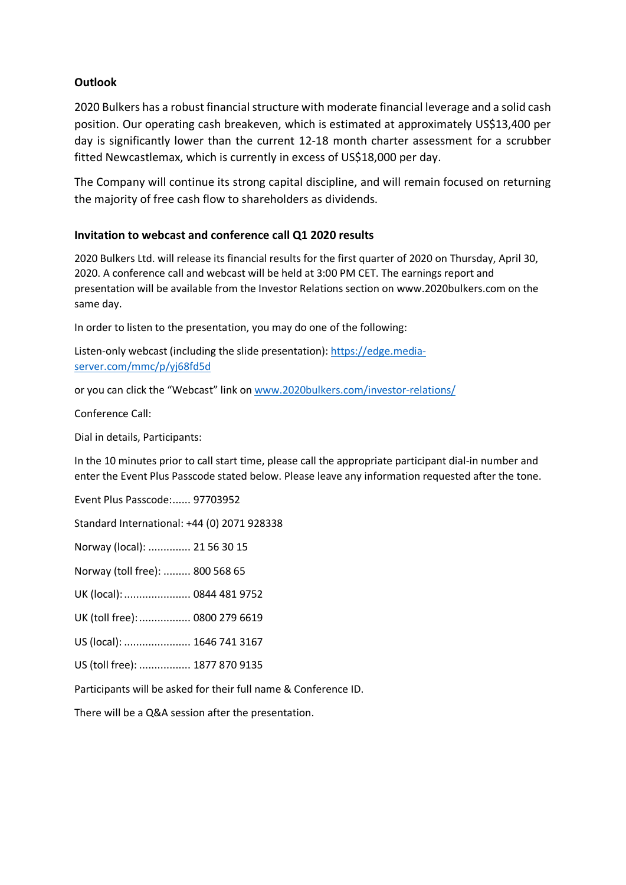#### **Outlook**

2020 Bulkers has a robust financial structure with moderate financial leverage and a solid cash position. Our operating cash breakeven, which is estimated at approximately US\$13,400 per day is significantly lower than the current 12-18 month charter assessment for a scrubber fitted Newcastlemax, which is currently in excess of US\$18,000 per day.

The Company will continue its strong capital discipline, and will remain focused on returning the majority of free cash flow to shareholders as dividends.

#### **Invitation to webcast and conference call Q1 2020 results**

2020 Bulkers Ltd. will release its financial results for the first quarter of 2020 on Thursday, April 30, 2020. A conference call and webcast will be held at 3:00 PM CET. The earnings report and presentation will be available from the Investor Relations section on www.2020bulkers.com on the same day.

In order to listen to the presentation, you may do one of the following:

Listen-only webcast (including the slide presentation): [https://edge.media](https://edge.media-server.com/mmc/p/yj68fd5d)[server.com/mmc/p/yj68fd5d](https://edge.media-server.com/mmc/p/yj68fd5d)

or you can click the "Webcast" link on [www.2020bulkers.com/investor-relations/](http://www.2020bulkers.com/investor-relations/)

Conference Call:

Dial in details, Participants:

In the 10 minutes prior to call start time, please call the appropriate participant dial-in number and enter the Event Plus Passcode stated below. Please leave any information requested after the tone.

Event Plus Passcode:...... 97703952

Standard International: +44 (0) 2071 928338

Norway (local): .............. 21 56 30 15

Norway (toll free): ......... 800 568 65

UK (local):...................... 0844 481 9752

UK (toll free):................. 0800 279 6619

US (local): ...................... 1646 741 3167

US (toll free): ................. 1877 870 9135

Participants will be asked for their full name & Conference ID.

There will be a Q&A session after the presentation.